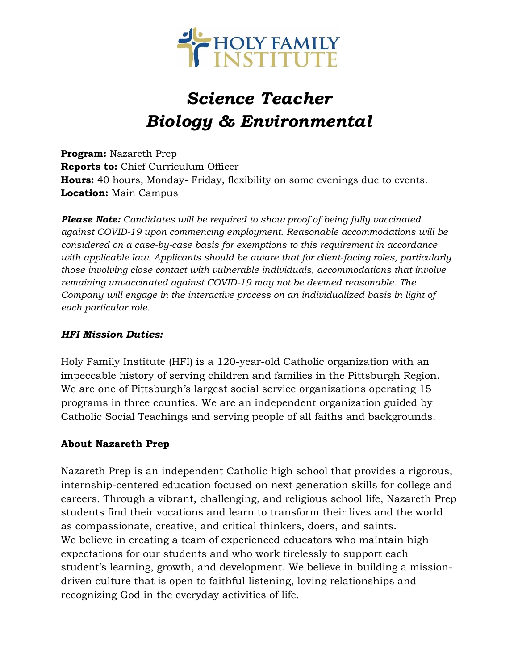

# *Science Teacher Biology & Environmental*

**Program:** Nazareth Prep **Reports to:** Chief Curriculum Officer **Hours:** 40 hours, Monday- Friday, flexibility on some evenings due to events. **Location:** Main Campus

*Please Note: Candidates will be required to show proof of being fully vaccinated against COVID-19 upon commencing employment. Reasonable accommodations will be considered on a case-by-case basis for exemptions to this requirement in accordance with applicable law. Applicants should be aware that for client-facing roles, particularly those involving close contact with vulnerable individuals, accommodations that involve remaining unvaccinated against COVID-19 may not be deemed reasonable. The Company will engage in the interactive process on an individualized basis in light of each particular role.*

#### *HFI Mission Duties:*

Holy Family Institute (HFI) is a 120-year-old Catholic organization with an impeccable history of serving children and families in the Pittsburgh Region. We are one of Pittsburgh's largest social service organizations operating 15 programs in three counties. We are an independent organization guided by Catholic Social Teachings and serving people of all faiths and backgrounds.

## **About Nazareth Prep**

Nazareth Prep is an independent Catholic high school that provides a rigorous, internship-centered education focused on next generation skills for college and careers. Through a vibrant, challenging, and religious school life, Nazareth Prep students find their vocations and learn to transform their lives and the world as compassionate, creative, and critical thinkers, doers, and saints. We believe in creating a team of experienced educators who maintain high expectations for our students and who work tirelessly to support each student's learning, growth, and development. We believe in building a missiondriven culture that is open to faithful listening, loving relationships and recognizing God in the everyday activities of life.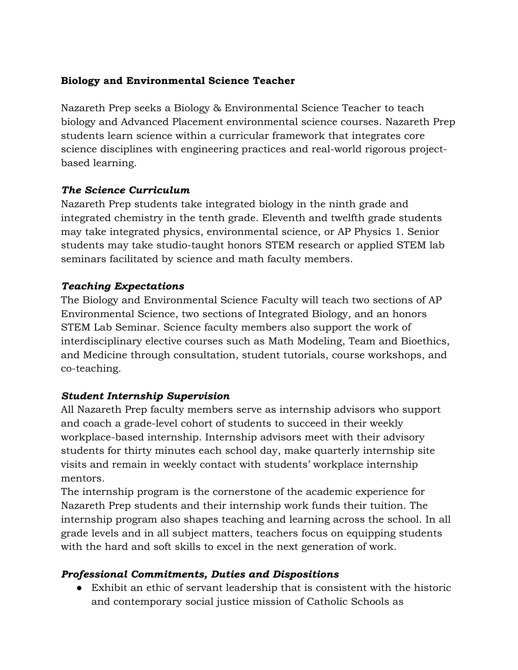## **Biology and Environmental Science Teacher**

Nazareth Prep seeks a Biology & Environmental Science Teacher to teach biology and Advanced Placement environmental science courses. Nazareth Prep students learn science within a curricular framework that integrates core science disciplines with engineering practices and real-world rigorous projectbased learning.

## *The Science Curriculum*

Nazareth Prep students take integrated biology in the ninth grade and integrated chemistry in the tenth grade. Eleventh and twelfth grade students may take integrated physics, environmental science, or AP Physics 1. Senior students may take studio-taught honors STEM research or applied STEM lab seminars facilitated by science and math faculty members.

## *Teaching Expectations*

The Biology and Environmental Science Faculty will teach two sections of AP Environmental Science, two sections of Integrated Biology, and an honors STEM Lab Seminar. Science faculty members also support the work of interdisciplinary elective courses such as Math Modeling, Team and Bioethics, and Medicine through consultation, student tutorials, course workshops, and co-teaching.

# *Student Internship Supervision*

All Nazareth Prep faculty members serve as internship advisors who support and coach a grade-level cohort of students to succeed in their weekly workplace-based internship. Internship advisors meet with their advisory students for thirty minutes each school day, make quarterly internship site visits and remain in weekly contact with students' workplace internship mentors.

The internship program is the cornerstone of the academic experience for Nazareth Prep students and their internship work funds their tuition. The internship program also shapes teaching and learning across the school. In all grade levels and in all subject matters, teachers focus on equipping students with the hard and soft skills to excel in the next generation of work.

# *Professional Commitments, Duties and Dispositions*

● Exhibit an ethic of servant leadership that is consistent with the historic and contemporary social justice mission of Catholic Schools as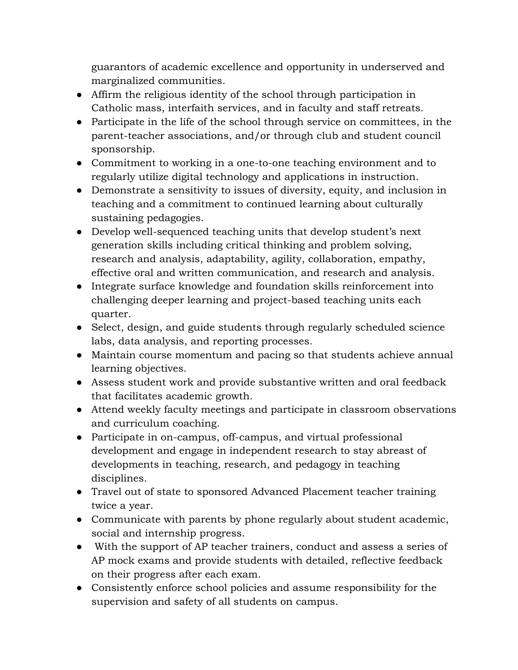guarantors of academic excellence and opportunity in underserved and marginalized communities.

- Affirm the religious identity of the school through participation in Catholic mass, interfaith services, and in faculty and staff retreats.
- Participate in the life of the school through service on committees, in the parent-teacher associations, and/or through club and student council sponsorship.
- Commitment to working in a one-to-one teaching environment and to regularly utilize digital technology and applications in instruction.
- Demonstrate a sensitivity to issues of diversity, equity, and inclusion in teaching and a commitment to continued learning about culturally sustaining pedagogies.
- Develop well-sequenced teaching units that develop student's next generation skills including critical thinking and problem solving, research and analysis, adaptability, agility, collaboration, empathy, effective oral and written communication, and research and analysis.
- Integrate surface knowledge and foundation skills reinforcement into challenging deeper learning and project-based teaching units each quarter.
- Select, design, and guide students through regularly scheduled science labs, data analysis, and reporting processes.
- Maintain course momentum and pacing so that students achieve annual learning objectives.
- Assess student work and provide substantive written and oral feedback that facilitates academic growth.
- Attend weekly faculty meetings and participate in classroom observations and curriculum coaching.
- Participate in on-campus, off-campus, and virtual professional development and engage in independent research to stay abreast of developments in teaching, research, and pedagogy in teaching disciplines.
- Travel out of state to sponsored Advanced Placement teacher training twice a year.
- Communicate with parents by phone regularly about student academic, social and internship progress.
- With the support of AP teacher trainers, conduct and assess a series of AP mock exams and provide students with detailed, reflective feedback on their progress after each exam.
- Consistently enforce school policies and assume responsibility for the supervision and safety of all students on campus.